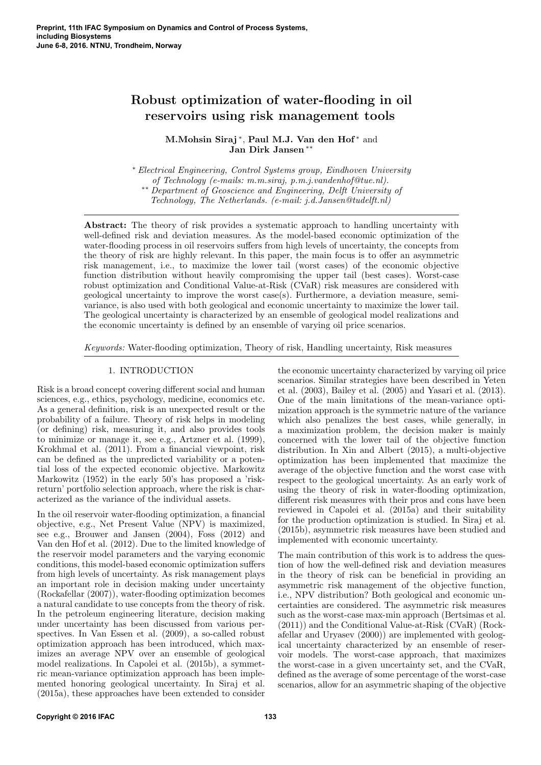# Robust optimization of water-flooding in oil reservoirs using risk management tools

M.Mohsin Siraj<sup>\*</sup>, Paul M.J. Van den Hof<sup>\*</sup> and Jan Dirk Jansen ∗∗

<sup>∗</sup> Electrical Engineering, Control Systems group, Eindhoven University of Technology (e-mails: m.m.siraj, p.m.j.vandenhof@tue.nl). ∗∗ Department of Geoscience and Engineering, Delft University of Technology, The Netherlands. (e-mail: j.d.Jansen@tudelft.nl)

Abstract: The theory of risk provides a systematic approach to handling uncertainty with well-defined risk and deviation measures. As the model-based economic optimization of the water-flooding process in oil reservoirs suffers from high levels of uncertainty, the concepts from the theory of risk are highly relevant. In this paper, the main focus is to offer an asymmetric risk management, i.e., to maximize the lower tail (worst cases) of the economic objective function distribution without heavily compromising the upper tail (best cases). Worst-case robust optimization and Conditional Value-at-Risk (CVaR) risk measures are considered with geological uncertainty to improve the worst case(s). Furthermore, a deviation measure, semivariance, is also used with both geological and economic uncertainty to maximize the lower tail. The geological uncertainty is characterized by an ensemble of geological model realizations and the economic uncertainty is defined by an ensemble of varying oil price scenarios.

Keywords: Water-flooding optimization, Theory of risk, Handling uncertainty, Risk measures

## 1. INTRODUCTION

Risk is a broad concept covering different social and human sciences, e.g., ethics, psychology, medicine, economics etc. As a general definition, risk is an unexpected result or the probability of a failure. Theory of risk helps in modeling (or defining) risk, measuring it, and also provides tools to minimize or manage it, see e.g., Artzner et al. (1999), Krokhmal et al. (2011). From a financial viewpoint, risk can be defined as the unpredicted variability or a potential loss of the expected economic objective. Markowitz Markowitz (1952) in the early 50's has proposed a 'riskreturn' portfolio selection approach, where the risk is characterized as the variance of the individual assets.

In the oil reservoir water-flooding optimization, a financial objective, e.g., Net Present Value (NPV) is maximized, see e.g., Brouwer and Jansen (2004), Foss (2012) and Van den Hof et al. (2012). Due to the limited knowledge of the reservoir model parameters and the varying economic conditions, this model-based economic optimization suffers from high levels of uncertainty. As risk management plays an important role in decision making under uncertainty (Rockafellar (2007)), water-flooding optimization becomes a natural candidate to use concepts from the theory of risk. In the petroleum engineering literature, decision making under uncertainty has been discussed from various perspectives. In Van Essen et al. (2009), a so-called robust optimization approach has been introduced, which maximizes an average NPV over an ensemble of geological model realizations. In Capolei et al. (2015b), a symmetric mean-variance optimization approach has been implemented honoring geological uncertainty. In Siraj et al. (2015a), these approaches have been extended to consider

the economic uncertainty characterized by varying oil price scenarios. Similar strategies have been described in Yeten et al. (2003), Bailey et al. (2005) and Yasari et al. (2013). One of the main limitations of the mean-variance optimization approach is the symmetric nature of the variance which also penalizes the best cases, while generally, in a maximization problem, the decision maker is mainly concerned with the lower tail of the objective function distribution. In Xin and Albert (2015), a multi-objective optimization has been implemented that maximize the average of the objective function and the worst case with respect to the geological uncertainty. As an early work of using the theory of risk in water-flooding optimization, different risk measures with their pros and cons have been reviewed in Capolei et al. (2015a) and their suitability for the production optimization is studied. In Siraj et al. (2015b), asymmetric risk measures have been studied and implemented with economic uncertainty.

The main contribution of this work is to address the question of how the well-defined risk and deviation measures in the theory of risk can be beneficial in providing an asymmetric risk management of the objective function, i.e., NPV distribution? Both geological and economic uncertainties are considered. The asymmetric risk measures such as the worst-case max-min approach (Bertsimas et al. (2011)) and the Conditional Value-at-Risk (CVaR) (Rockafellar and Uryasev (2000)) are implemented with geological uncertainty characterized by an ensemble of reservoir models. The worst-case approach, that maximizes the worst-case in a given uncertainty set, and the CVaR, defined as the average of some percentage of the worst-case scenarios, allow for an asymmetric shaping of the objective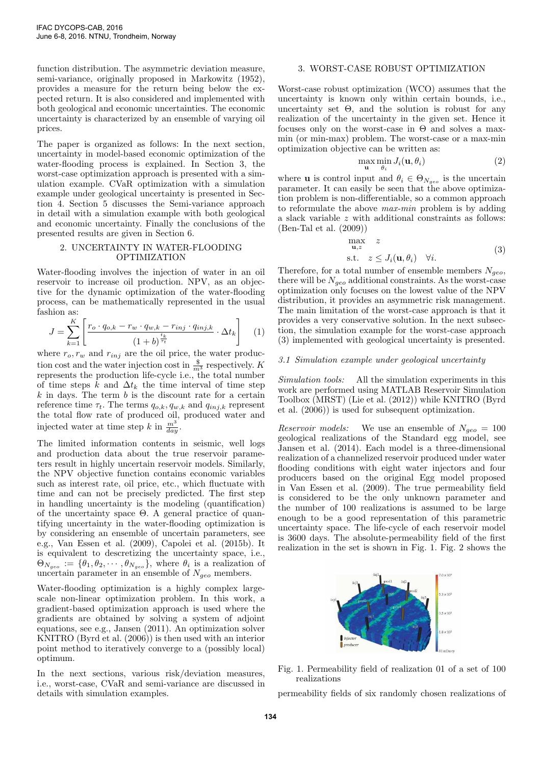function distribution. The asymmetric deviation measure, semi-variance, originally proposed in Markowitz (1952), provides a measure for the return being below the expected return. It is also considered and implemented with both geological and economic uncertainties. The economic uncertainty is characterized by an ensemble of varying oil prices.

The paper is organized as follows: In the next section, uncertainty in model-based economic optimization of the water-flooding process is explained. In Section 3, the worst-case optimization approach is presented with a simulation example. CVaR optimization with a simulation example under geological uncertainty is presented in Section 4. Section 5 discusses the Semi-variance approach in detail with a simulation example with both geological and economic uncertainty. Finally the conclusions of the presented results are given in Section 6.

## 2. UNCERTAINTY IN WATER-FLOODING OPTIMIZATION

Water-flooding involves the injection of water in an oil reservoir to increase oil production. NPV, as an objective for the dynamic optimization of the water-flooding process, can be mathematically represented in the usual fashion as:

$$
J = \sum_{k=1}^{K} \left[ \frac{r_o \cdot q_{o,k} - r_w \cdot q_{w,k} - r_{inj} \cdot q_{inj,k}}{\left(1 + b\right)^{\frac{t_k}{\tau_t}}} \cdot \Delta t_k \right] \tag{1}
$$

where  $r_o, r_w$  and  $r_{inj}$  are the oil price, the water production cost and the water injection cost in  $\frac{\$}{m^3}$  respectively. K represents the production life-cycle i.e., the total number of time steps  $k$  and  $\Delta t_k$  the time interval of time step  $k$  in days. The term  $b$  is the discount rate for a certain reference time  $\tau_t$ . The terms  $q_{o,k}, q_{w,k}$  and  $q_{inj,k}$  represent the total flow rate of produced oil, produced water and injected water at time step k in  $\frac{m^3}{day}$ .

The limited information contents in seismic, well logs and production data about the true reservoir parameters result in highly uncertain reservoir models. Similarly, the NPV objective function contains economic variables such as interest rate, oil price, etc., which fluctuate with time and can not be precisely predicted. The first step in handling uncertainty is the modeling (quantification) of the uncertainty space Θ. A general practice of quantifying uncertainty in the water-flooding optimization is by considering an ensemble of uncertain parameters, see e.g., Van Essen et al. (2009), Capolei et al. (2015b). It is equivalent to descretizing the uncertainty space, i.e.,  $\Theta_{N_{geo}} := \{\theta_1, \theta_2, \cdots, \theta_{N_{geo}}\},$  where  $\theta_i$  is a realization of uncertain parameter in an ensemble of  $N_{geo}$  members.

Water-flooding optimization is a highly complex largescale non-linear optimization problem. In this work, a gradient-based optimization approach is used where the gradients are obtained by solving a system of adjoint equations, see e.g., Jansen (2011). An optimization solver KNITRO (Byrd et al. (2006)) is then used with an interior point method to iteratively converge to a (possibly local) optimum.

In the next sections, various risk/deviation measures, i.e., worst-case, CVaR and semi-variance are discussed in details with simulation examples.

## 3. WORST-CASE ROBUST OPTIMIZATION

Worst-case robust optimization (WCO) assumes that the uncertainty is known only within certain bounds, i.e., uncertainty set  $\Theta$ , and the solution is robust for any realization of the uncertainty in the given set. Hence it focuses only on the worst-case in  $\Theta$  and solves a maxmin (or min-max) problem. The worst-case or a max-min optimization objective can be written as:

$$
\max_{\mathbf{u}} \min_{\theta_i} J_i(\mathbf{u}, \theta_i) \tag{2}
$$

where **u** is control input and  $\theta_i \in \Theta_{N_{geo}}$  is the uncertain parameter. It can easily be seen that the above optimization problem is non-differentiable, so a common approach to reformulate the above max-min problem is by adding a slack variable z with additional constraints as follows: (Ben-Tal et al. (2009))

$$
\max_{\mathbf{u},z} z
$$
  
s.t.  $z \leq J_i(\mathbf{u}, \theta_i) \quad \forall i.$  (3)

Therefore, for a total number of ensemble members  $N_{\text{geo}}$ , there will be  $N_{geo}$  additional constraints. As the worst-case optimization only focuses on the lowest value of the NPV distribution, it provides an asymmetric risk management. The main limitation of the worst-case approach is that it provides a very conservative solution. In the next subsection, the simulation example for the worst-case approach (3) implemented with geological uncertainty is presented.

## 3.1 Simulation example under geological uncertainty

Simulation tools: All the simulation experiments in this work are performed using MATLAB Reservoir Simulation Toolbox (MRST) (Lie et al. (2012)) while KNITRO (Byrd et al. (2006)) is used for subsequent optimization.

*Reservoir models:* We use an ensemble of  $N_{geo} = 100$ geological realizations of the Standard egg model, see Jansen et al. (2014). Each model is a three-dimensional realization of a channelized reservoir produced under water flooding conditions with eight water injectors and four producers based on the original Egg model proposed in Van Essen et al. (2009). The true permeability field is considered to be the only unknown parameter and the number of 100 realizations is assumed to be large enough to be a good representation of this parametric uncertainty space. The life-cycle of each reservoir model is 3600 days. The absolute-permeability field of the first realization in the set is shown in Fig. 1. Fig. 2 shows the



Fig. 1. Permeability field of realization 01 of a set of 100 realizations

permeability fields of six randomly chosen realizations of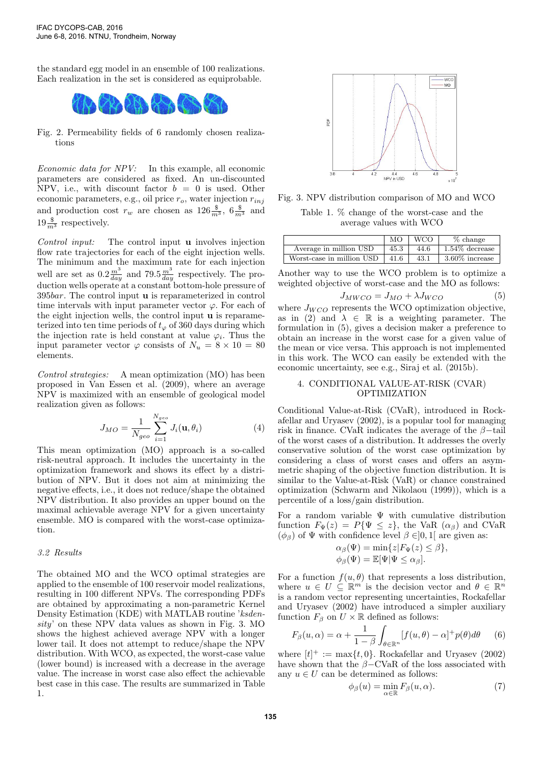the standard egg model in an ensemble of 100 realizations. Each realization in the set is considered as equiprobable.



Fig. 2. Permeability fields of 6 randomly chosen realizations

Economic data for NPV: In this example, all economic parameters are considered as fixed. An un-discounted NPV, i.e., with discount factor  $b = 0$  is used. Other economic parameters, e.g., oil price  $r_o$ , water injection  $r_{inj}$ and production cost  $r_w$  are chosen as  $126\frac{\$}{m^3}$ ,  $6\frac{\$}{m^3}$  and  $19\frac{\$}{m^3}$  respectively.

Control input: The control input u involves injection flow rate trajectories for each of the eight injection wells. The minimum and the maximum rate for each injection well are set as  $0.2 \frac{m^3}{day}$  and  $79.5 \frac{m^3}{day}$  respectively. The production wells operate at a constant bottom-hole pressure of 395bar. The control input u is reparameterized in control time intervals with input parameter vector  $\varphi$ . For each of the eight injection wells, the control input u is reparameterized into ten time periods of  $t_{\varphi}$  of 360 days during which the injection rate is held constant at value  $\varphi_i$ . Thus the input parameter vector  $\varphi$  consists of  $N_u = 8 \times 10 = 80$ elements.

Control strategies: A mean optimization (MO) has been proposed in Van Essen et al. (2009), where an average NPV is maximized with an ensemble of geological model realization given as follows:

$$
J_{MO} = \frac{1}{N_{geo}} \sum_{i=1}^{N_{geo}} J_i(\mathbf{u}, \theta_i)
$$
 (4)

This mean optimization (MO) approach is a so-called risk-neutral approach. It includes the uncertainty in the optimization framework and shows its effect by a distribution of NPV. But it does not aim at minimizing the negative effects, i.e., it does not reduce/shape the obtained NPV distribution. It also provides an upper bound on the maximal achievable average NPV for a given uncertainty ensemble. MO is compared with the worst-case optimization.

## 3.2 Results

The obtained MO and the WCO optimal strategies are applied to the ensemble of 100 reservoir model realizations, resulting in 100 different NPVs. The corresponding PDFs are obtained by approximating a non-parametric Kernel Density Estimation (KDE) with MATLAB routine 'ksdensity' on these NPV data values as shown in Fig. 3. MO shows the highest achieved average NPV with a longer lower tail. It does not attempt to reduce/shape the NPV distribution. With WCO, as expected, the worst-case value (lower bound) is increased with a decrease in the average value. The increase in worst case also effect the achievable best case in this case. The results are summarized in Table 1.



Fig. 3. NPV distribution comparison of MO and WCO

Table 1. % change of the worst-case and the average values with WCO

|                           | MО   | <b>WCO</b> | % change          |
|---------------------------|------|------------|-------------------|
| Average in million USD    | 45.3 | 44.6       | $1.54\%$ decrease |
| Worst-case in million USD | 41.6 | 43.1       | $3.60\%$ increase |

Another way to use the WCO problem is to optimize a weighted objective of worst-case and the MO as follows:

$$
J_{MWCO} = J_{MO} + \lambda J_{WCO}
$$
 (5)

where  $J_{WCO}$  represents the WCO optimization objective, as in (2) and  $\lambda \in \mathbb{R}$  is a weighting parameter. The formulation in (5), gives a decision maker a preference to obtain an increase in the worst case for a given value of the mean or vice versa. This approach is not implemented in this work. The WCO can easily be extended with the economic uncertainty, see e.g., Siraj et al. (2015b).

## 4. CONDITIONAL VALUE-AT-RISK (CVAR) OPTIMIZATION

Conditional Value-at-Risk (CVaR), introduced in Rockafellar and Uryasev (2002), is a popular tool for managing risk in finance. CVaR indicates the average of the  $\beta$ -tail of the worst cases of a distribution. It addresses the overly conservative solution of the worst case optimization by considering a class of worst cases and offers an asymmetric shaping of the objective function distribution. It is similar to the Value-at-Risk (VaR) or chance constrained optimization (Schwarm and Nikolaou (1999)), which is a percentile of a loss/gain distribution.

For a random variable  $\Psi$  with cumulative distribution function  $F_{\Psi}(z) = P{\Psi \leq z}$ , the VaR  $(\alpha_{\beta})$  and CVaR  $(\phi_{\beta})$  of  $\Psi$  with confidence level  $\beta \in ]0,1[$  are given as:

$$
\alpha_{\beta}(\Psi) = \min\{z|F_{\Psi}(z) \leq \beta\},
$$
  

$$
\phi_{\beta}(\Psi) = \mathbb{E}[\Psi|\Psi \leq \alpha_{\beta}].
$$

For a function  $f(u, \theta)$  that represents a loss distribution, where  $u \in U \subseteq \mathbb{R}^m$  is the decision vector and  $\theta \in \mathbb{R}^n$ is a random vector representing uncertainties, Rockafellar and Uryasev (2002) have introduced a simpler auxiliary function  $F_\beta$  on  $U \times \mathbb{R}$  defined as follows:

$$
F_{\beta}(u,\alpha) = \alpha + \frac{1}{1-\beta} \int_{\theta \in \mathbb{R}^n} [f(u,\theta) - \alpha]^+ p(\theta) d\theta \qquad (6)
$$

where  $[t]^+ := \max\{t, 0\}$ . Rockafellar and Uryasev (2002) have shown that the  $β$ −CVaR of the loss associated with any  $u\in U$  can be determined as follows:

$$
\phi_{\beta}(u) = \min_{\alpha \in \mathbb{R}} F_{\beta}(u, \alpha).
$$
 (7)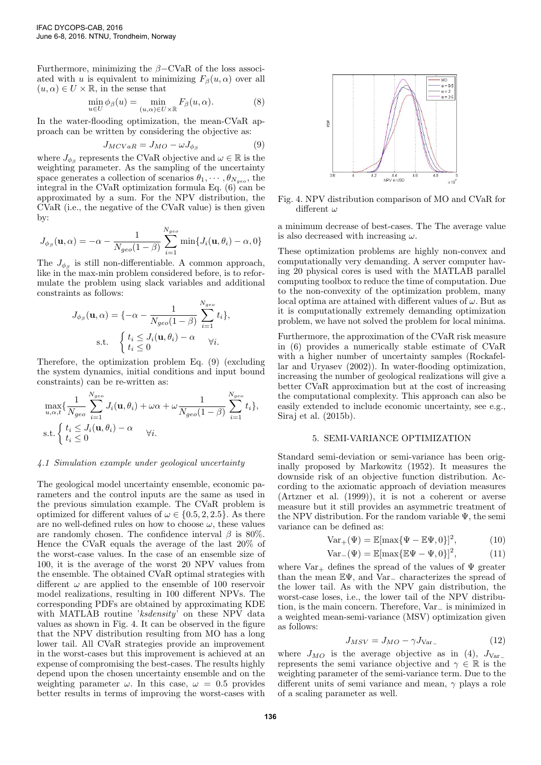Furthermore, minimizing the  $β$ −CVaR of the loss associated with u is equivalent to minimizing  $F_\beta(u, \alpha)$  over all  $(u, \alpha) \in U \times \mathbb{R}$ , in the sense that

$$
\min_{u \in U} \phi_{\beta}(u) = \min_{(u,\alpha) \in U \times \mathbb{R}} F_{\beta}(u,\alpha).
$$
 (8)

In the water-flooding optimization, the mean-CVaR approach can be written by considering the objective as:

$$
J_{MCVaR} = J_{MO} - \omega J_{\phi_{\beta}} \tag{9}
$$

where  $J_{\phi_{\beta}}$  represents the CVaR objective and  $\omega \in \mathbb{R}$  is the weighting parameter. As the sampling of the uncertainty space generates a collection of scenarios  $\theta_1, \cdots, \theta_{N_{geo}}$ , the integral in the CVaR optimization formula Eq. (6) can be approximated by a sum. For the NPV distribution, the CVaR (i.e., the negative of the CVaR value) is then given by:

$$
J_{\phi_{\beta}}(\mathbf{u}, \alpha) = -\alpha - \frac{1}{N_{geo}(1-\beta)} \sum_{i=1}^{N_{geo}} \min\{J_i(\mathbf{u}, \theta_i) - \alpha, 0\}
$$

The  $J_{\phi_{\beta}}$  is still non-differentiable. A common approach, like in the max-min problem considered before, is to reformulate the problem using slack variables and additional constraints as follows:

$$
J_{\phi_{\beta}}(\mathbf{u}, \alpha) = \{-\alpha - \frac{1}{N_{geo}(1-\beta)} \sum_{i=1}^{N_{geo}} t_i\},\
$$
s.t. 
$$
\begin{cases} t_i \leq J_i(\mathbf{u}, \theta_i) - \alpha \\ t_i \leq 0 \end{cases} \forall i.
$$

Therefore, the optimization problem Eq. (9) (excluding the system dynamics, initial conditions and input bound constraints) can be re-written as:

N

$$
\max_{u,\alpha,t} \{ \frac{1}{N_{geo}} \sum_{i=1}^{N_{geo}} J_i(\mathbf{u}, \theta_i) + \omega \alpha + \omega \frac{1}{N_{geo}(1-\beta)} \sum_{i=1}^{N_{geo}} t_i \},
$$
  
s.t. 
$$
\begin{cases} t_i \leq J_i(\mathbf{u}, \theta_i) - \alpha & \forall i. \\ t_i \leq 0 & \forall i. \end{cases}
$$

## 4.1 Simulation example under geological uncertainty

The geological model uncertainty ensemble, economic parameters and the control inputs are the same as used in the previous simulation example. The CVaR problem is optimized for different values of  $\omega \in \{0.5, 2, 2.5\}$ . As there are no well-defined rules on how to choose  $\omega$ , these values are randomly chosen. The confidence interval  $\beta$  is 80%. Hence the CVaR equals the average of the last 20% of the worst-case values. In the case of an ensemble size of 100, it is the average of the worst 20 NPV values from the ensemble. The obtained CVaR optimal strategies with different  $\omega$  are applied to the ensemble of 100 reservoir model realizations, resulting in 100 different NPVs. The corresponding PDFs are obtained by approximating KDE with MATLAB routine 'ksdensity' on these NPV data values as shown in Fig. 4. It can be observed in the figure that the NPV distribution resulting from MO has a long lower tail. All CVaR strategies provide an improvement in the worst-cases but this improvement is achieved at an expense of compromising the best-cases. The results highly depend upon the chosen uncertainty ensemble and on the weighting parameter  $\omega$ . In this case,  $\omega = 0.5$  provides better results in terms of improving the worst-cases with



Fig. 4. NPV distribution comparison of MO and CVaR for different  $\omega$ 

a minimum decrease of best-cases. The The average value is also decreased with increasing  $\omega$ .

These optimization problems are highly non-convex and computationally very demanding. A server computer having 20 physical cores is used with the MATLAB parallel computing toolbox to reduce the time of computation. Due to the non-convexity of the optimization problem, many local optima are attained with different values of  $\omega$ . But as it is computationally extremely demanding optimization problem, we have not solved the problem for local minima.

Furthermore, the approximation of the CVaR risk measure in (6) provides a numerically stable estimate of CVaR with a higher number of uncertainty samples (Rockafellar and Uryasev (2002)). In water-flooding optimization, increasing the number of geological realizations will give a better CVaR approximation but at the cost of increasing the computational complexity. This approach can also be easily extended to include economic uncertainty, see e.g., Siraj et al. (2015b).

#### 5. SEMI-VARIANCE OPTIMIZATION

Standard semi-deviation or semi-variance has been originally proposed by Markowitz (1952). It measures the downside risk of an objective function distribution. According to the axiomatic approach of deviation measures (Artzner et al. (1999)), it is not a coherent or averse measure but it still provides an asymmetric treatment of the NPV distribution. For the random variable  $\Psi$ , the semivariance can be defined as:

$$
Var_{+}(\Psi) = \mathbb{E}[\max{\{\Psi - \mathbb{E}\Psi, 0\}}]^{2},
$$
 (10)

$$
Var_{-}(\Psi) = \mathbb{E}[\max{\{\mathbb{E}\Psi - \Psi, 0\}}]^2,
$$
 (11)

where  $\text{Var}_+$  defines the spread of the values of  $\Psi$  greater than the mean EΨ, and Var<sup>−</sup> characterizes the spread of the lower tail. As with the NPV gain distribution, the worst-case loses, i.e., the lower tail of the NPV distribution, is the main concern. Therefore, Var<sup>−</sup> is minimized in a weighted mean-semi-variance (MSV) optimization given as follows:

$$
J_{MSV} = J_{MO} - \gamma J_{\text{Var}_-} \tag{12}
$$

where  $J_{MO}$  is the average objective as in (4),  $J_{Var}$ represents the semi variance objective and  $\gamma \in \mathbb{R}$  is the weighting parameter of the semi-variance term. Due to the different units of semi variance and mean,  $\gamma$  plays a role of a scaling parameter as well.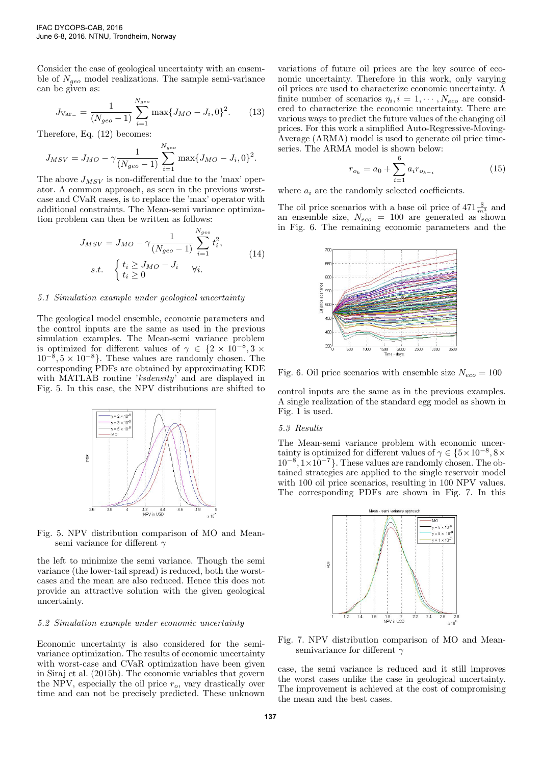Consider the case of geological uncertainty with an ensemble of  $N_{qeo}$  model realizations. The sample semi-variance can be given as:

$$
J_{\text{Var}_{-}} = \frac{1}{(N_{geo} - 1)} \sum_{i=1}^{N_{geo}} \max\{J_{MO} - J_i, 0\}^2.
$$
 (13)

Therefore, Eq. (12) becomes:

$$
J_{MSV} = J_{MO} - \gamma \frac{1}{(N_{geo} - 1)} \sum_{i=1}^{N_{geo}} \max\{J_{MO} - J_i, 0\}^2.
$$

The above  $J_{MSV}$  is non-differential due to the 'max' operator. A common approach, as seen in the previous worstcase and CVaR cases, is to replace the 'max' operator with additional constraints. The Mean-semi variance optimization problem can then be written as follows:

$$
J_{MSV} = J_{MO} - \gamma \frac{1}{(N_{geo} - 1)} \sum_{i=1}^{N_{geo}} t_i^2,
$$
  
s.t. 
$$
\begin{cases} t_i \geq J_{MO} - J_i & \forall i. \\ t_i \geq 0 & \forall i. \end{cases}
$$
 (14)

#### 5.1 Simulation example under geological uncertainty

The geological model ensemble, economic parameters and the control inputs are the same as used in the previous simulation examples. The Mean-semi variance problem is optimized for different values of  $\gamma \in \{2 \times 10^{-8}, 3 \times$  $10^{-8}, 5 \times 10^{-8}$ . These values are randomly chosen. The corresponding PDFs are obtained by approximating KDE with MATLAB routine 'ksdensity' and are displayed in Fig. 5. In this case, the NPV distributions are shifted to



Fig. 5. NPV distribution comparison of MO and Meansemi variance for different  $\gamma$ 

the left to minimize the semi variance. Though the semi variance (the lower-tail spread) is reduced, both the worstcases and the mean are also reduced. Hence this does not provide an attractive solution with the given geological uncertainty.

## 5.2 Simulation example under economic uncertainty

Economic uncertainty is also considered for the semivariance optimization. The results of economic uncertainty with worst-case and CVaR optimization have been given in Siraj et al. (2015b). The economic variables that govern the NPV, especially the oil price  $r<sub>o</sub>$ , vary drastically over time and can not be precisely predicted. These unknown variations of future oil prices are the key source of economic uncertainty. Therefore in this work, only varying oil prices are used to characterize economic uncertainty. A finite number of scenarios  $\eta_i, i = 1, \cdots, N_{eco}$  are considered to characterize the economic uncertainty. There are various ways to predict the future values of the changing oil prices. For this work a simplified Auto-Regressive-Moving-Average (ARMA) model is used to generate oil price timeseries. The ARMA model is shown below:

$$
r_{o_k} = a_0 + \sum_{i=1}^{6} a_i r_{o_{k-i}} \tag{15}
$$

where  $a_i$  are the randomly selected coefficients.

The oil price scenarios with a base oil price of  $471 \frac{\$}{m_3^3}$  and an ensemble size,  $N_{eco}$  = 100 are generated as shown in Fig. 6. The remaining economic parameters and the



Fig. 6. Oil price scenarios with ensemble size  $N_{eco} = 100$ 

control inputs are the same as in the previous examples. A single realization of the standard egg model as shown in Fig. 1 is used.

## 5.3 Results

The Mean-semi variance problem with economic uncertainty is optimized for different values of  $\gamma \in \{5 \times 10^{-8}, 8 \times$  $10^{-8}$ ,  $1 \times 10^{-7}$ . These values are randomly chosen. The obtained strategies are applied to the single reservoir model with 100 oil price scenarios, resulting in 100 NPV values. The corresponding PDFs are shown in Fig. 7. In this



Fig. 7. NPV distribution comparison of MO and Meansemivariance for different  $\gamma$ 

case, the semi variance is reduced and it still improves the worst cases unlike the case in geological uncertainty. The improvement is achieved at the cost of compromising the mean and the best cases.